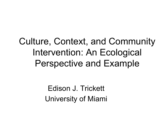### Culture, Context, and Community Intervention: An Ecological Perspective and Example

Edison J. Trickett University of Miami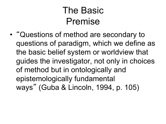#### The Basic Premise

• "Questions of method are secondary to questions of paradigm, which we define as the basic belief system or worldview that guides the investigator, not only in choices of method but in ontologically and epistemologically fundamental ways " (Guba & Lincoln, 1994, p. 105)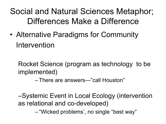#### Social and Natural Sciences Metaphor; Differences Make a Difference

• Alternative Paradigms for Community Intervention

Rocket Science (program as technology to be implemented)

– There are answers—"call Houston"

–Systemic Event in Local Ecology (intervention as relational and co-developed)

– "Wicked problems', no single "best way"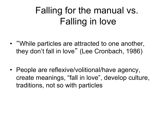### Falling for the manual vs. Falling in love

- "While particles are attracted to one another, they don't fall in love" (Lee Cronbach, 1986)
- People are reflexive/volitional/have agency, create meanings, "fall in love", develop culture, traditions, not so with particles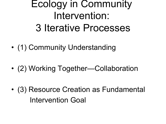### Ecology in Community Intervention: 3 Iterative Processes

- (1) Community Understanding
- (2) Working Together—Collaboration
- (3) Resource Creation as Fundamental Intervention Goal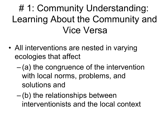# 1: Community Understanding: Learning About the Community and Vice Versa

- All interventions are nested in varying ecologies that affect
	- $-$  (a) the congruence of the intervention with local norms, problems, and solutions and
	- (b) the relationships between interventionists and the local context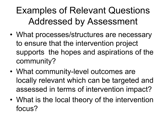### Examples of Relevant Questions Addressed by Assessment

- What processes/structures are necessary to ensure that the intervention project supports the hopes and aspirations of the community?
- What community-level outcomes are locally relevant which can be targeted and assessed in terms of intervention impact?
- What is the local theory of the intervention focus?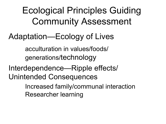Ecological Principles Guiding Community Assessment

#### Adaptation—Ecology of Lives

acculturation in values/foods/ generations/technology

Interdependence—Ripple effects/ Unintended Consequences

> Increased family/communal interaction Researcher learning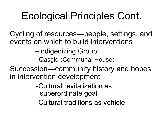# Ecological Principles Cont.

Cycling of resources—people, settings, and events on which to build interventions

–Indigenizing Group

–Qasgiq (Communal House)

Succession—community history and hopes in intervention development

> -Cultural revitalization as superordinate goal

-Cultural traditions as vehicle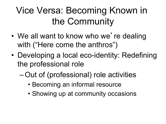### Vice Versa: Becoming Known in the Community

- We all want to know who we're dealing with ("Here come the anthros")
- Developing a local eco-identity: Redefining the professional role
	- –Out of (professional) role activities
		- Becoming an informal resource
		- Showing up at community occasions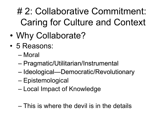## # 2: Collaborative Commitment: Caring for Culture and Context

- Why Collaborate?
- 5 Reasons:
	- Moral
	- Pragmatic/Utilitarian/Instrumental
	- Ideological—Democratic/Revolutionary
	- Epistemological
	- Local Impact of Knowledge
	- This is where the devil is in the details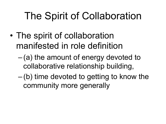# The Spirit of Collaboration

- The spirit of collaboration manifested in role definition
	- $-(a)$  the amount of energy devoted to collaborative relationship building,
	- (b) time devoted to getting to know the community more generally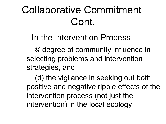# Collaborative Commitment Cont.

–In the Intervention Process

© degree of community influence in selecting problems and intervention strategies, and

(d) the vigilance in seeking out both positive and negative ripple effects of the intervention process (not just the intervention) in the local ecology.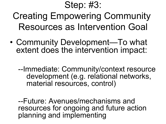#### Step: #3:

Creating Empowering Community Resources as Intervention Goal

• Community Development—To what extent does the intervention impact:

--Immediate: Community/context resource development (e.g. relational networks, material resources, control)

--Future: Avenues/mechanisms and resources for ongoing and future action planning and implementing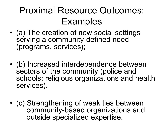### Proximal Resource Outcomes: Examples

- (a) The creation of new social settings serving a community-defined need (programs, services);
- (b) Increased interdependence between sectors of the community (police and schools; religious organizations and health services).
- (c) Strengthening of weak ties between community-based organizations and outside specialized expertise.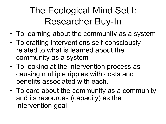### The Ecological Mind Set I: Researcher Buy-In

- To learning about the community as a system
- To crafting interventions self-consciously related to what is learned about the community as a system
- To looking at the intervention process as causing multiple ripples with costs and benefits associated with each.
- To care about the community as a community and its resources (capacity) as the intervention goal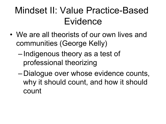#### Mindset II: Value Practice-Based Evidence

- We are all theorists of our own lives and communities (George Kelly)
	- Indigenous theory as a test of professional theorizing
	- Dialogue over whose evidence counts, why it should count, and how it should count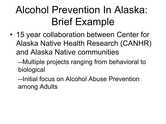# Alcohol Prevention In Alaska: Brief Example

• 15 year collaboration between Center for Alaska Native Health Research (CANHR) and Alaska Native communities

--Multiple projects ranging from behavioral to biological

--Initial focus on Alcohol Abuse Prevention among Adults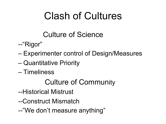# Clash of Cultures

#### Culture of Science

- --"Rigor"
- Experimenter control of Design/Measures
- Quantitative Priority
- Timeliness

#### Culture of Community

- --Historical Mistrust
- --Construct Mismatch
- --"We don't measure anything"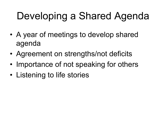# Developing a Shared Agenda

- A year of meetings to develop shared agenda
- Agreement on strengths/not deficits
- Importance of not speaking for others
- Listening to life stories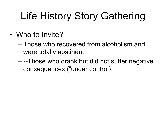# Life History Story Gathering

- Who to Invite?
	- Those who recovered from alcoholism and were totally abstinent
	- --Those who drank but did not suffer negative consequences ("under control)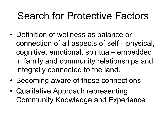## Search for Protective Factors

- Definition of wellness as balance or connection of all aspects of self—physical, cognitive, emotional, spiritual– embedded in family and community relationships and integrally connected to the land.
- Becoming aware of these connections
- Qualitative Approach representing Community Knowledge and Experience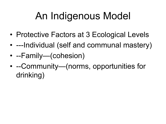# An Indigenous Model

- Protective Factors at 3 Ecological Levels
- ---Individual (self and communal mastery)
- --Family—(cohesion)
- --Community—(norms, opportunities for drinking)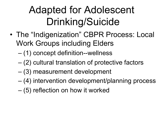# Adapted for Adolescent Drinking/Suicide

- The "Indigenization" CBPR Process: Local Work Groups including Elders
	- (1) concept definition--wellness
	- (2) cultural translation of protective factors
	- (3) measurement development
	- (4) intervention development/planning process
	- (5) reflection on how it worked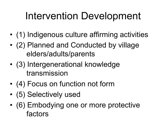# Intervention Development

- (1) Indigenous culture affirming activities
- (2) Planned and Conducted by village elders/adults/parents
- (3) Intergenerational knowledge transmission
- (4) Focus on function not form
- (5) Selectively used
- (6) Embodying one or more protective factors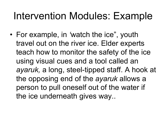## Intervention Modules: Example

• For example, in *'*watch the ice", youth travel out on the river ice. Elder experts teach how to monitor the safety of the ice using visual cues and a tool called an *ayaruk,* a long, steel-tipped staff. A hook at the opposing end of the *ayaruk* allows a person to pull oneself out of the water if the ice underneath gives way..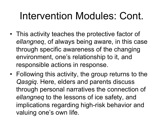# Intervention Modules: Cont.

- This activity teaches the protective factor of *ellangneq*, of always being aware, in this case through specific awareness of the changing environment, one's relationship to it, and responsible actions in response.
- Following this activity, the group returns to the *Qasgiq.* Here, elders and parents discuss through personal narratives the connection of *ellangneq* to the lessons of ice safety, and implications regarding high-risk behavior and valuing one's own life.